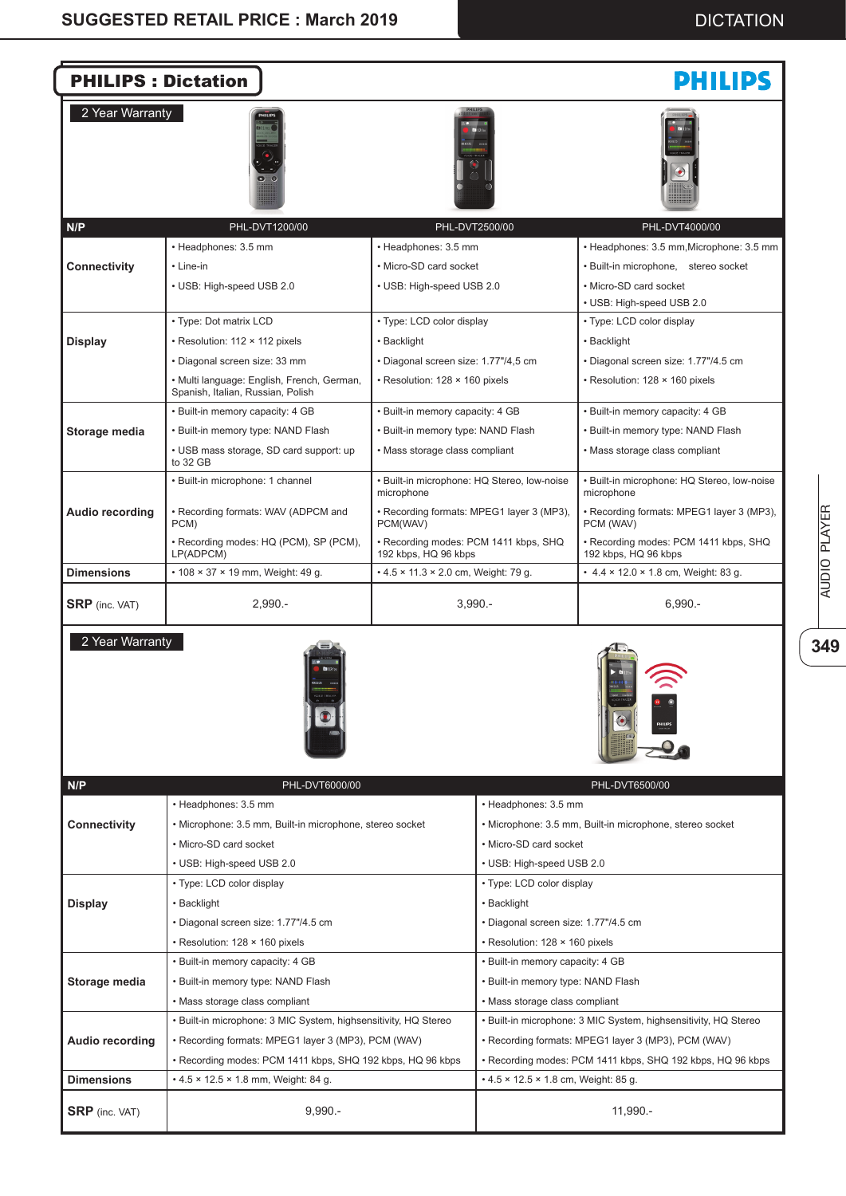

**AUDIO PLAYER 349**AUDIO PLAYER

349